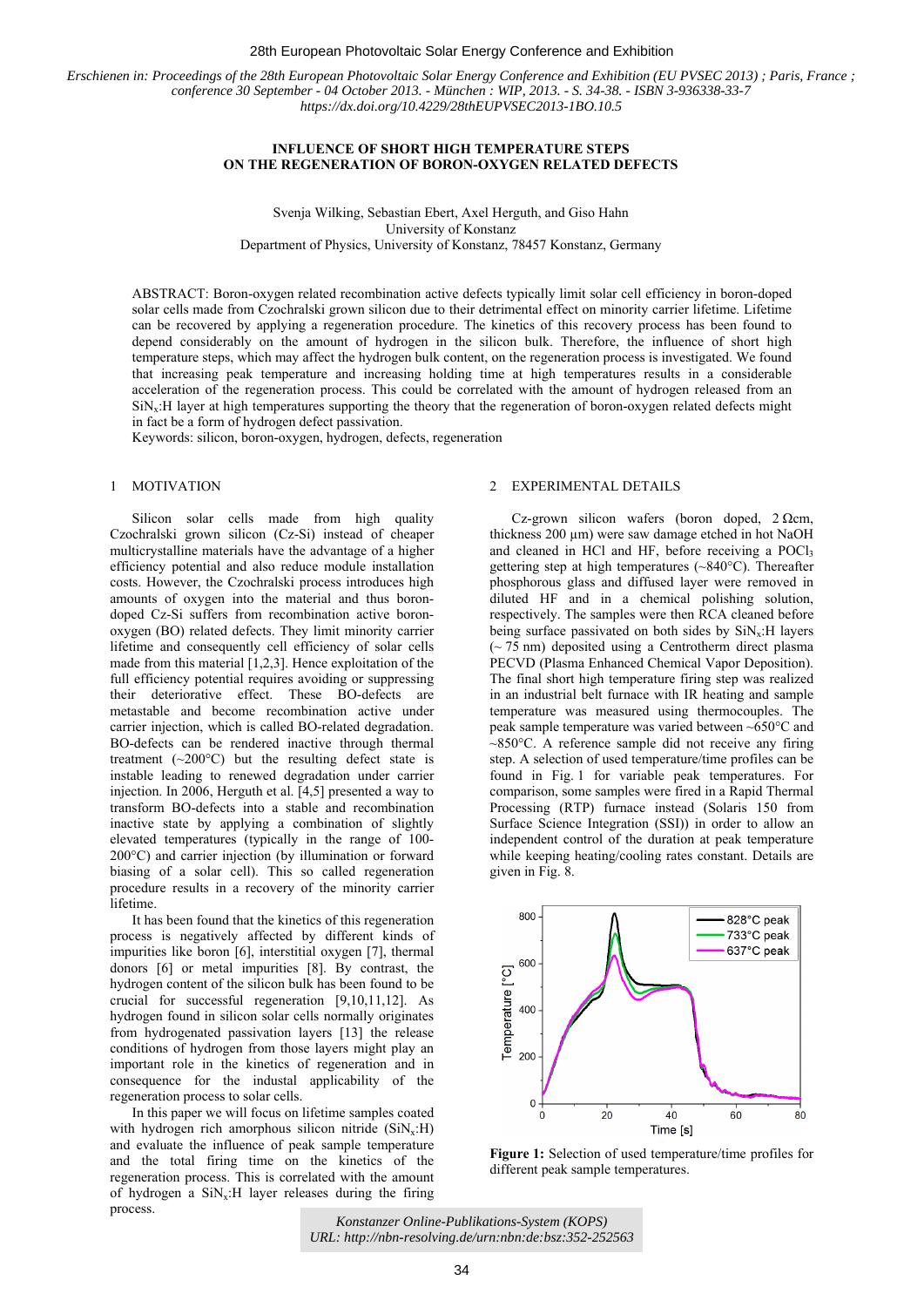#### 28th European Photovoltaic Solar Energy Conference and Exhibition

*Erschienen in: Proceedings of the 28th European Photovoltaic Solar Energy Conference and Exhibition (EU PVSEC 2013) ; Paris, France ; conference 30 September - 04 October 2013. - München : WIP, 2013. - S. 34-38. - ISBN 3-936338-33-7 https://dx.doi.org/10.4229/28thEUPVSEC2013-1BO.10.5*

# **INFLUENCE OF SHORT HIGH TEMPERATURE STEPS ON THE REGENERATION OF BORON-OXYGEN RELATED DEFECTS**

Svenja Wilking, Sebastian Ebert, Axel Herguth, and Giso Hahn University of Konstanz Department of Physics, University of Konstanz, 78457 Konstanz, Germany

ABSTRACT: Boron-oxygen related recombination active defects typically limit solar cell efficiency in boron-doped solar cells made from Czochralski grown silicon due to their detrimental effect on minority carrier lifetime. Lifetime can be recovered by applying a regeneration procedure. The kinetics of this recovery process has been found to depend considerably on the amount of hydrogen in the silicon bulk. Therefore, the influence of short high temperature steps, which may affect the hydrogen bulk content, on the regeneration process is investigated. We found that increasing peak temperature and increasing holding time at high temperatures results in a considerable acceleration of the regeneration process. This could be correlated with the amount of hydrogen released from an  $\text{SiN}_x$ :H layer at high temperatures supporting the theory that the regeneration of boron-oxygen related defects might in fact be a form of hydrogen defect passivation.

Keywords: silicon, boron-oxygen, hydrogen, defects, regeneration

# 1 MOTIVATION

Silicon solar cells made from high quality Czochralski grown silicon (Cz-Si) instead of cheaper multicrystalline materials have the advantage of a higher efficiency potential and also reduce module installation costs. However, the Czochralski process introduces high amounts of oxygen into the material and thus borondoped Cz-Si suffers from recombination active boronoxygen (BO) related defects. They limit minority carrier lifetime and consequently cell efficiency of solar cells made from this material [1,2,3]. Hence exploitation of the full efficiency potential requires avoiding or suppressing their deteriorative effect. These BO-defects are metastable and become recombination active under carrier injection, which is called BO-related degradation. BO-defects can be rendered inactive through thermal treatment  $({\sim}200^{\circ}C)$  but the resulting defect state is instable leading to renewed degradation under carrier injection. In 2006, Herguth et al. [4,5] presented a way to transform BO-defects into a stable and recombination inactive state by applying a combination of slightly elevated temperatures (typically in the range of 100- 200°C) and carrier injection (by illumination or forward biasing of a solar cell). This so called regeneration procedure results in a recovery of the minority carrier lifetime.

It has been found that the kinetics of this regeneration process is negatively affected by different kinds of impurities like boron [6], interstitial oxygen [7], thermal donors [6] or metal impurities [8]. By contrast, the hydrogen content of the silicon bulk has been found to be crucial for successful regeneration [9,10,11,12]. As hydrogen found in silicon solar cells normally originates from hydrogenated passivation layers [13] the release conditions of hydrogen from those layers might play an important role in the kinetics of regeneration and in consequence for the industal applicability of the regeneration process to solar cells.

In this paper we will focus on lifetime samples coated with hydrogen rich amorphous silicon nitride  $(SiN_x:H)$ and evaluate the influence of peak sample temperature and the total firing time on the kinetics of the regeneration process. This is correlated with the amount of hydrogen a  $\text{SiN}_x$ : H layer releases during the firing process.

# 2 EXPERIMENTAL DETAILS

Cz-grown silicon wafers (boron doped, 2 Ωcm, thickness 200 µm) were saw damage etched in hot NaOH and cleaned in HCl and HF, before receiving a POCl<sub>3</sub> gettering step at high temperatures (~840°C). Thereafter phosphorous glass and diffused layer were removed in diluted HF and in a chemical polishing solution, respectively. The samples were then RCA cleaned before being surface passivated on both sides by  $\text{SiN}_x$ : H layers  $({\sim} 75 \text{ nm})$  deposited using a Centrotherm direct plasma PECVD (Plasma Enhanced Chemical Vapor Deposition). The final short high temperature firing step was realized in an industrial belt furnace with IR heating and sample temperature was measured using thermocouples. The peak sample temperature was varied between ~650°C and  $\sim$ 850 $\degree$ C. A reference sample did not receive any firing step. A selection of used temperature/time profiles can be found in Fig. 1 for variable peak temperatures. For comparison, some samples were fired in a Rapid Thermal Processing (RTP) furnace instead (Solaris 150 from Surface Science Integration (SSI)) in order to allow an independent control of the duration at peak temperature while keeping heating/cooling rates constant. Details are given in Fig. 8.



**Figure 1:** Selection of used temperature/time profiles for different peak sample temperatures.

<sup>34</sup> *Konstanzer Online-Publikations-System (KOPS) URL: http://nbn-resolving.de/urn:nbn:de:bsz:352-252563*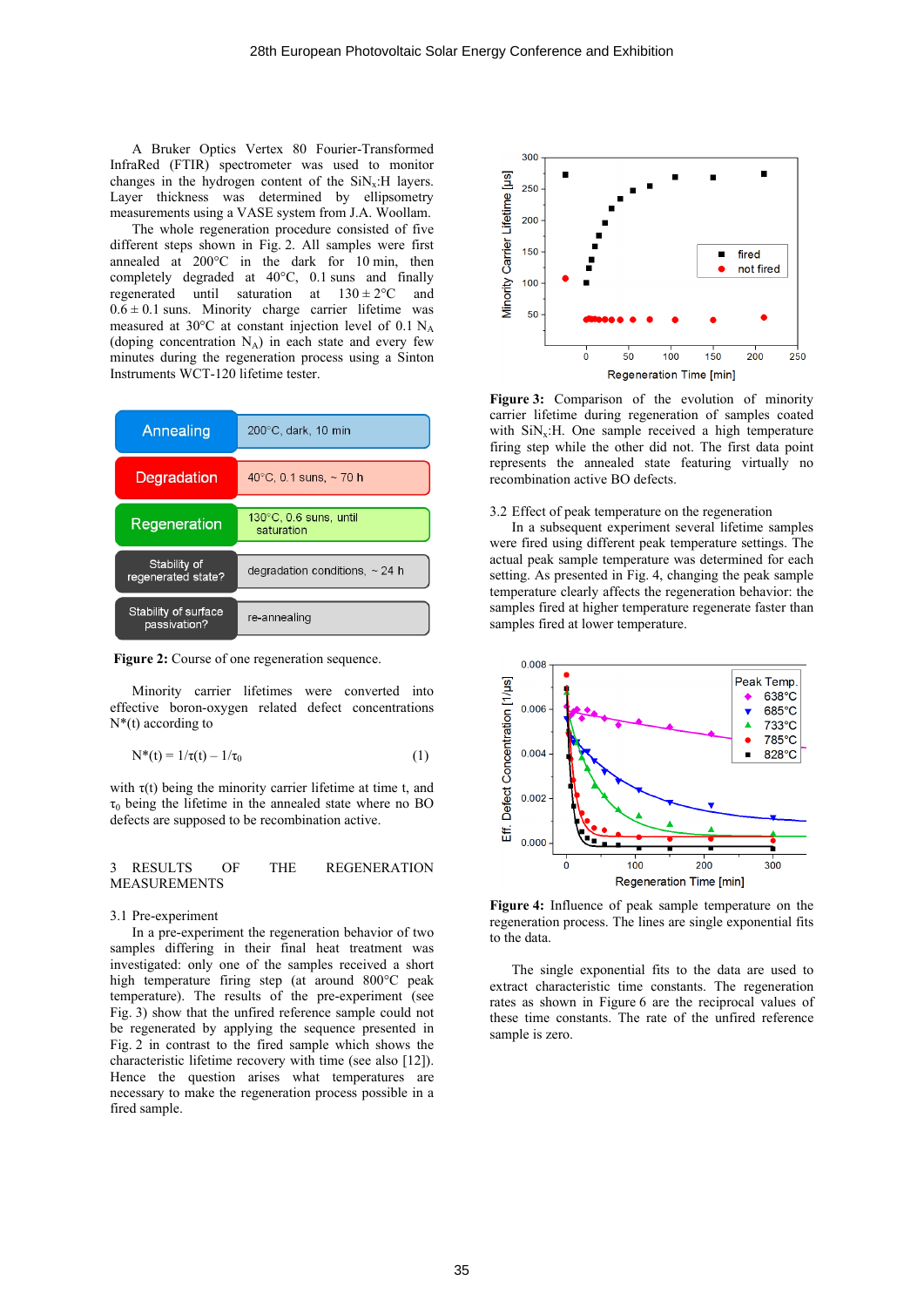A Bruker Optics Vertex 80 Fourier-Transformed InfraRed (FTIR) spectrometer was used to monitor changes in the hydrogen content of the  $\text{SiN}_x$ : H layers. Layer thickness was determined by ellipsometry measurements using a VASE system from J.A. Woollam.

The whole regeneration procedure consisted of five different steps shown in Fig. 2. All samples were first annealed at 200°C in the dark for 10 min, then completely degraded at 40°C, 0.1 suns and finally regenerated until saturation at  $130 \pm 2^{\circ}$ C and  $0.6 \pm 0.1$  suns. Minority charge carrier lifetime was measured at 30 $\degree$ C at constant injection level of 0.1 N<sub>A</sub> (doping concentration  $N_A$ ) in each state and every few minutes during the regeneration process using a Sinton Instruments WCT-120 lifetime tester.

| Annealing                            | $200^{\circ}$ C, dark, 10 min          |
|--------------------------------------|----------------------------------------|
| Degradation                          | 40 $^{\circ}$ C, 0.1 suns, $\sim$ 70 h |
| Regeneration                         | 130°C, 0.6 suns, until<br>saturation   |
| Stability of<br>regenerated state?   | degradation conditions, $\sim$ 24 h    |
| Stability of surface<br>passivation? | re-annealing                           |



Minority carrier lifetimes were converted into effective boron-oxygen related defect concentrations  $N^*(t)$  according to

$$
N^*(t) = 1/\tau(t) - 1/\tau_0 \tag{1}
$$

with  $\tau(t)$  being the minority carrier lifetime at time t, and  $\tau_0$  being the lifetime in the annealed state where no BO defects are supposed to be recombination active.

### 3 RESULTS OF THE REGENERATION MEASUREMENTS

#### 3.1 Pre-experiment

In a pre-experiment the regeneration behavior of two samples differing in their final heat treatment was investigated: only one of the samples received a short high temperature firing step (at around 800°C peak temperature). The results of the pre-experiment (see Fig. 3) show that the unfired reference sample could not be regenerated by applying the sequence presented in Fig. 2 in contrast to the fired sample which shows the characteristic lifetime recovery with time (see also [12]). Hence the question arises what temperatures are necessary to make the regeneration process possible in a fired sample.



**Figure 3:** Comparison of the evolution of minority carrier lifetime during regeneration of samples coated with  $\text{SiN}_x$ :H. One sample received a high temperature firing step while the other did not. The first data point represents the annealed state featuring virtually no recombination active BO defects.

### 3.2 Effect of peak temperature on the regeneration

In a subsequent experiment several lifetime samples were fired using different peak temperature settings. The actual peak sample temperature was determined for each setting. As presented in Fig. 4, changing the peak sample temperature clearly affects the regeneration behavior: the samples fired at higher temperature regenerate faster than samples fired at lower temperature.



**Figure 4:** Influence of peak sample temperature on the regeneration process. The lines are single exponential fits to the data.

The single exponential fits to the data are used to extract characteristic time constants. The regeneration rates as shown in Figure 6 are the reciprocal values of these time constants. The rate of the unfired reference sample is zero.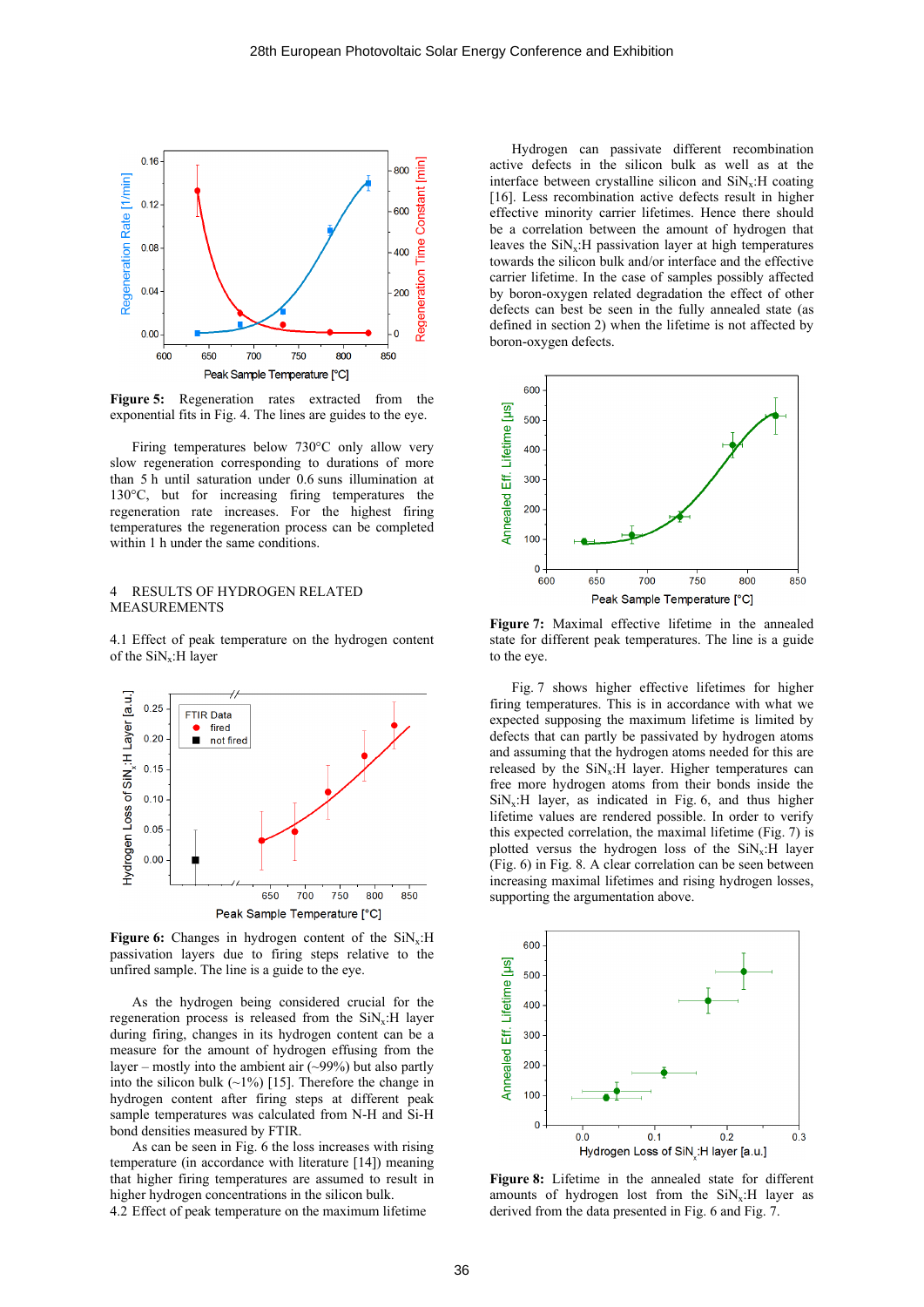

**Figure 5:** Regeneration rates extracted from the exponential fits in Fig. 4. The lines are guides to the eye.

Firing temperatures below 730°C only allow very slow regeneration corresponding to durations of more than 5 h until saturation under 0.6 suns illumination at 130°C, but for increasing firing temperatures the regeneration rate increases. For the highest firing temperatures the regeneration process can be completed within 1 h under the same conditions.

# 4 RESULTS OF HYDROGEN RELATED MEASUREMENTS

4.1 Effect of peak temperature on the hydrogen content of the  $\text{SiN}_x$ : H layer



**Figure 6:** Changes in hydrogen content of the SiN<sub>x</sub>:H passivation layers due to firing steps relative to the unfired sample. The line is a guide to the eye.

As the hydrogen being considered crucial for the regeneration process is released from the  $\text{SiN}_x$ : H layer during firing, changes in its hydrogen content can be a measure for the amount of hydrogen effusing from the layer – mostly into the ambient air  $(\sim 99\%)$  but also partly into the silicon bulk  $(\sim 1\%)$  [15]. Therefore the change in hydrogen content after firing steps at different peak sample temperatures was calculated from N-H and Si-H bond densities measured by FTIR.

As can be seen in Fig. 6 the loss increases with rising temperature (in accordance with literature [14]) meaning that higher firing temperatures are assumed to result in higher hydrogen concentrations in the silicon bulk.

4.2 Effect of peak temperature on the maximum lifetime

Hydrogen can passivate different recombination active defects in the silicon bulk as well as at the interface between crystalline silicon and  $\text{SiN}_x$ : H coating [16]. Less recombination active defects result in higher effective minority carrier lifetimes. Hence there should be a correlation between the amount of hydrogen that leaves the  $\text{SiN}_x$ : H passivation layer at high temperatures towards the silicon bulk and/or interface and the effective carrier lifetime. In the case of samples possibly affected by boron-oxygen related degradation the effect of other defects can best be seen in the fully annealed state (as defined in section 2) when the lifetime is not affected by boron-oxygen defects.



**Figure 7:** Maximal effective lifetime in the annealed state for different peak temperatures. The line is a guide to the eye.

Fig. 7 shows higher effective lifetimes for higher firing temperatures. This is in accordance with what we expected supposing the maximum lifetime is limited by defects that can partly be passivated by hydrogen atoms and assuming that the hydrogen atoms needed for this are released by the  $\text{SiN}_x$ : H layer. Higher temperatures can free more hydrogen atoms from their bonds inside the  $\text{SiN}_x$ :H layer, as indicated in Fig. 6, and thus higher lifetime values are rendered possible. In order to verify this expected correlation, the maximal lifetime (Fig. 7) is plotted versus the hydrogen loss of the  $\text{SiN}_x$ : H layer (Fig. 6) in Fig. 8. A clear correlation can be seen between increasing maximal lifetimes and rising hydrogen losses, supporting the argumentation above.



**Figure 8:** Lifetime in the annealed state for different amounts of hydrogen lost from the  $\text{SiN}_x$ : H layer as derived from the data presented in Fig. 6 and Fig. 7.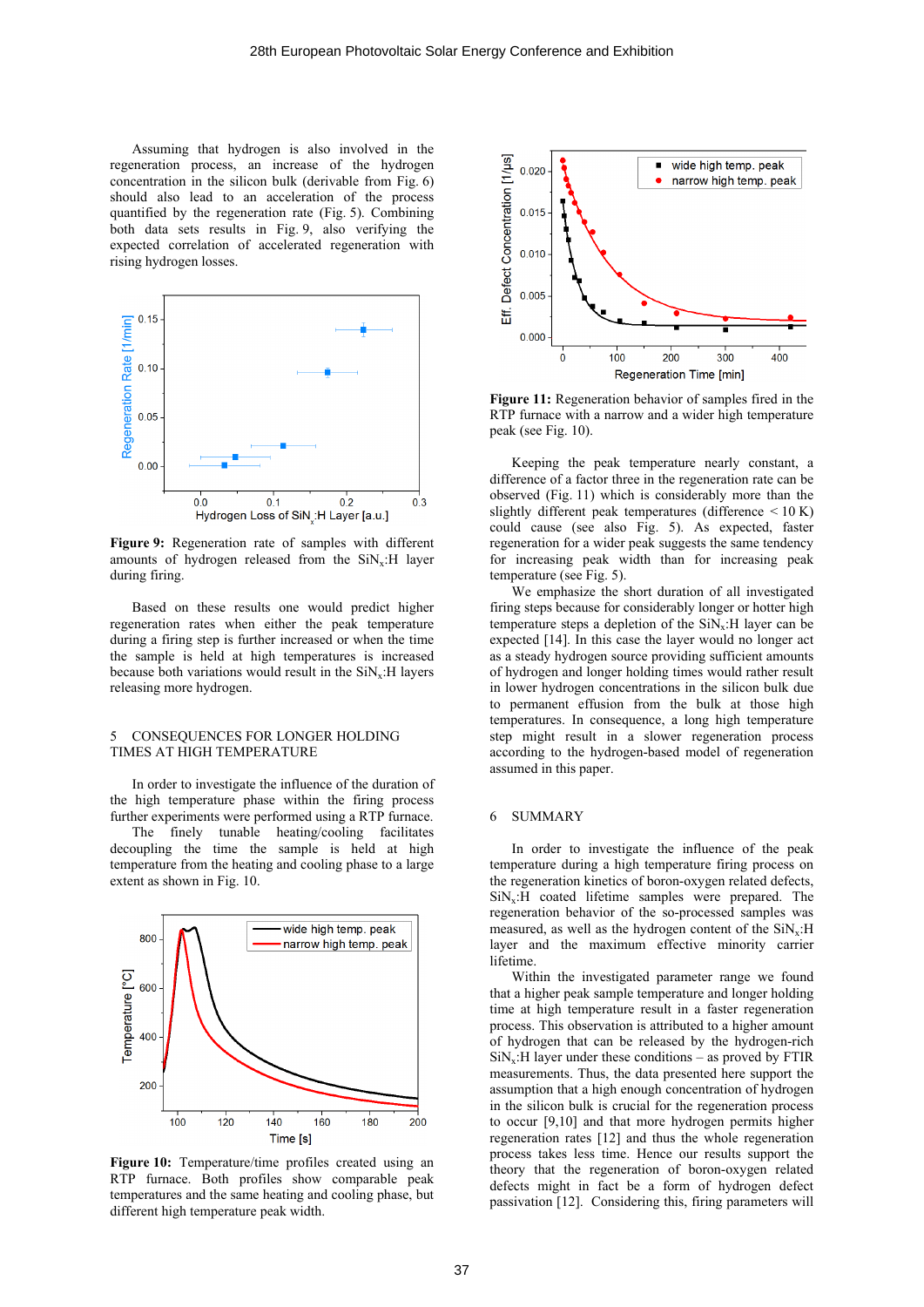Assuming that hydrogen is also involved in the regeneration process, an increase of the hydrogen concentration in the silicon bulk (derivable from Fig. 6) should also lead to an acceleration of the process quantified by the regeneration rate (Fig. 5). Combining both data sets results in Fig. 9, also verifying the expected correlation of accelerated regeneration with rising hydrogen losses.



**Figure 9:** Regeneration rate of samples with different amounts of hydrogen released from the  $\text{SiN}_x$ : H layer during firing.

Based on these results one would predict higher regeneration rates when either the peak temperature during a firing step is further increased or when the time the sample is held at high temperatures is increased because both variations would result in the  $\text{SiN}_x$ : H layers releasing more hydrogen.

# 5 CONSEQUENCES FOR LONGER HOLDING TIMES AT HIGH TEMPERATURE

In order to investigate the influence of the duration of the high temperature phase within the firing process further experiments were performed using a RTP furnace.

The finely tunable heating/cooling facilitates decoupling the time the sample is held at high temperature from the heating and cooling phase to a large extent as shown in Fig. 10.



**Figure 10:** Temperature/time profiles created using an RTP furnace. Both profiles show comparable peak temperatures and the same heating and cooling phase, but different high temperature peak width.



**Figure 11:** Regeneration behavior of samples fired in the RTP furnace with a narrow and a wider high temperature peak (see Fig. 10).

Keeping the peak temperature nearly constant, a difference of a factor three in the regeneration rate can be observed (Fig. 11) which is considerably more than the slightly different peak temperatures (difference  $\leq 10$  K) could cause (see also Fig. 5). As expected, faster regeneration for a wider peak suggests the same tendency for increasing peak width than for increasing peak temperature (see Fig. 5).

We emphasize the short duration of all investigated firing steps because for considerably longer or hotter high temperature steps a depletion of the  $\text{SiN}_{\text{v}}$ : H layer can be expected [14]. In this case the layer would no longer act as a steady hydrogen source providing sufficient amounts of hydrogen and longer holding times would rather result in lower hydrogen concentrations in the silicon bulk due to permanent effusion from the bulk at those high temperatures. In consequence, a long high temperature step might result in a slower regeneration process according to the hydrogen-based model of regeneration assumed in this paper.

### 6 SUMMARY

In order to investigate the influence of the peak temperature during a high temperature firing process on the regeneration kinetics of boron-oxygen related defects,  $\text{SiN}_x$ :H coated lifetime samples were prepared. The regeneration behavior of the so-processed samples was measured, as well as the hydrogen content of the  $SiN_x:H$ layer and the maximum effective minority carrier lifetime.

Within the investigated parameter range we found that a higher peak sample temperature and longer holding time at high temperature result in a faster regeneration process. This observation is attributed to a higher amount of hydrogen that can be released by the hydrogen-rich  $\text{SiN}_x$ :H layer under these conditions – as proved by FTIR measurements. Thus, the data presented here support the assumption that a high enough concentration of hydrogen in the silicon bulk is crucial for the regeneration process to occur [9,10] and that more hydrogen permits higher regeneration rates [12] and thus the whole regeneration process takes less time. Hence our results support the theory that the regeneration of boron-oxygen related defects might in fact be a form of hydrogen defect passivation [12]. Considering this, firing parameters will